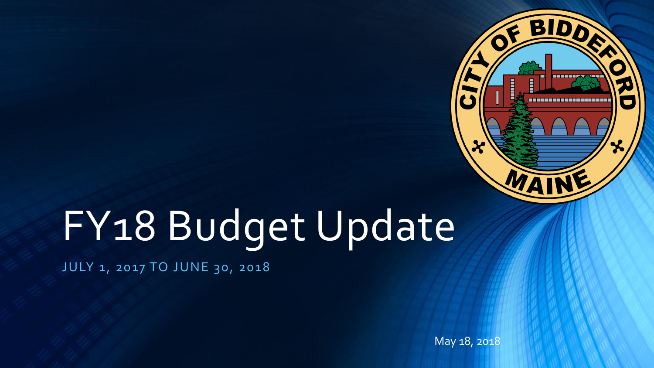

# FY18 Budget Update

JULY 1, 2017 TO JUNE 30, 2018

May 18, 2018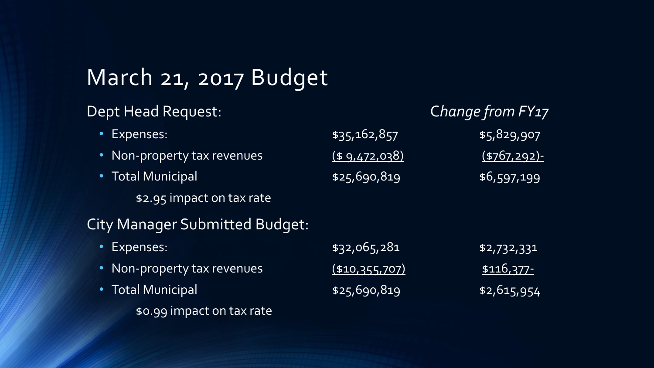# March 21, 2017 Budget

#### Dept Head Request: C*hange from FY17*

| Expenses:                             | \$35,162,857   | \$5,829,907     |
|---------------------------------------|----------------|-----------------|
| • Non-property tax revenues           | (49,472,038)   | $(5767, 292)$ - |
| • Total Municipal                     | \$25,690,819   | \$6,597,199     |
| \$2.95 impact on tax rate             |                |                 |
| <b>City Manager Submitted Budget:</b> |                |                 |
| Expenses:                             | \$32,065,281   | $1$ \$2,732,331 |
| • Non-property tax revenues           | (\$10,355,707) | \$116,377-      |
| <b>Total Municipal</b>                | \$25,690,819   | \$2,615,954     |

\$0.99 impact on tax rate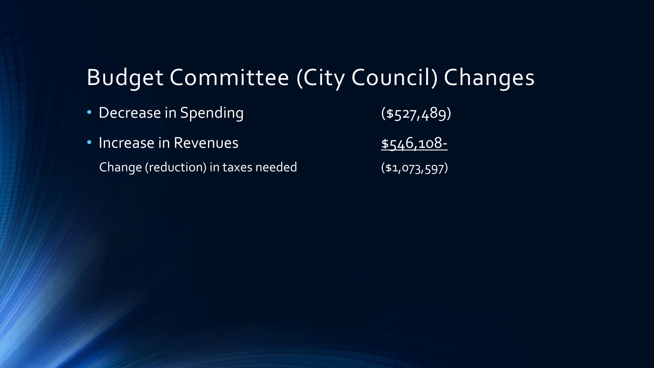## Budget Committee (City Council) Changes

| • Decrease in Spending             | $($ \$527,489) |
|------------------------------------|----------------|
| · Increase in Revenues             | \$546,108-     |
| Change (reduction) in taxes needed | ( \$1,073,597) |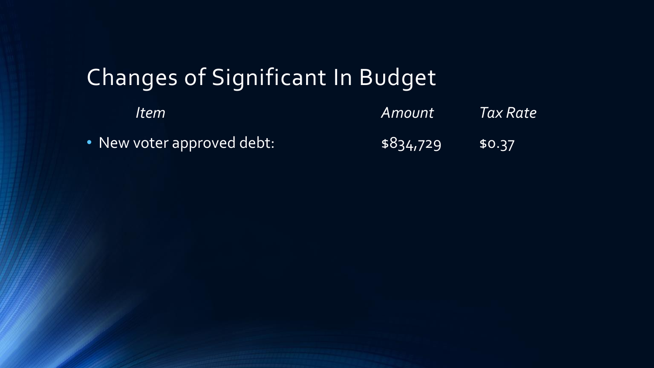# Changes of Significant In Budget

| <i>Item</i>                | <i>Amount</i> | <i><b>Tax Rate</b></i> |
|----------------------------|---------------|------------------------|
| • New voter approved debt: | \$834,729     | 50.37                  |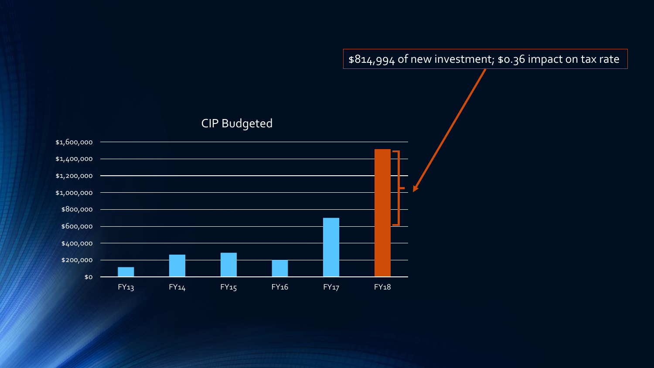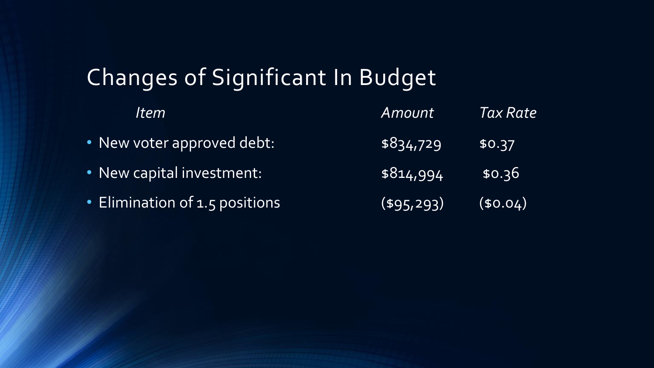# Changes of Significant In Budget

| <i>Item</i>                    | Amount        | Tax Rate |
|--------------------------------|---------------|----------|
| • New voter approved debt:     | \$834,729     | \$0.37   |
| • New capital investment:      | \$814,994     | \$0.36   |
| • Elimination of 1.5 positions | $($ \$95,293) | (50.04)  |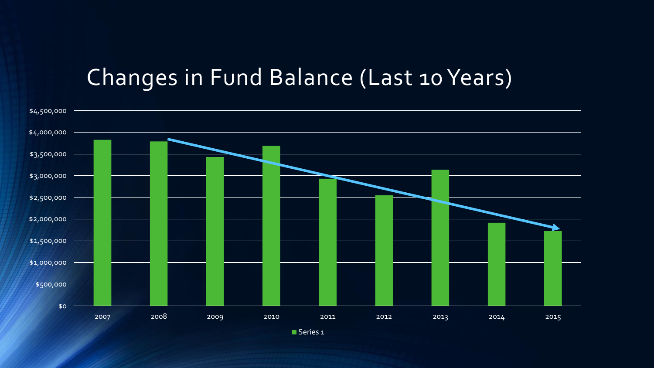#### Changes in Fund Balance (Last 10 Years)



Series 1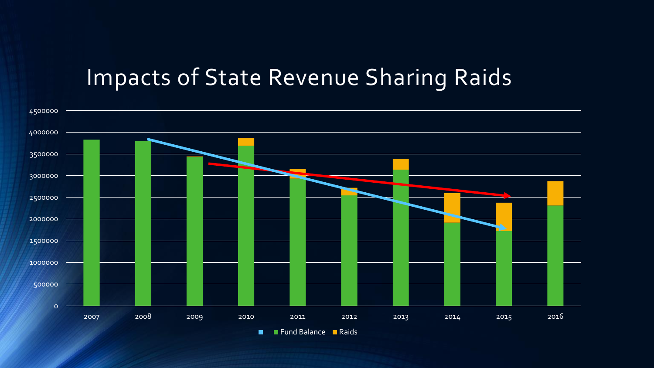### Impacts of State Revenue Sharing Raids



Fund Balance Raids  $\blacksquare$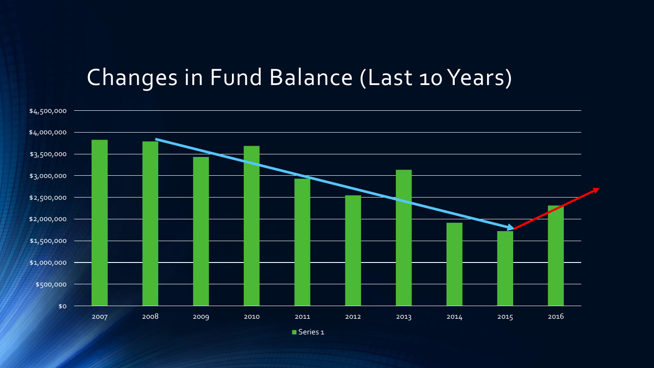#### Changes in Fund Balance (Last 10 Years)



Series 1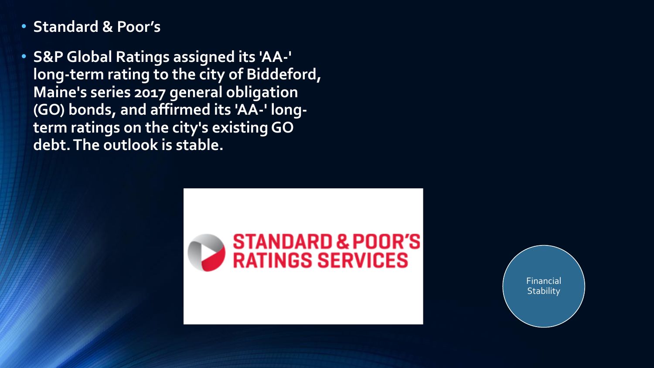- **Standard & Poor's**
- **S&P Global Ratings assigned its 'AA-' long-term rating to the city of Biddeford, Maine's series 2017 general obligation (GO) bonds, and affirmed its 'AA-' longterm ratings on the city's existing GO debt. The outlook is stable.**



Financial **Stability**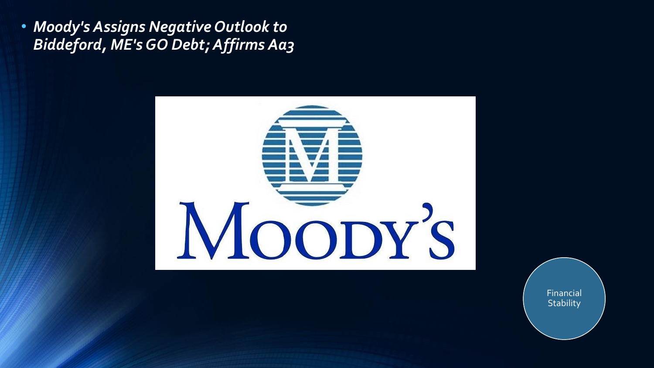• *Moody's Assigns Negative Outlook to Biddeford, ME's GO Debt; Affirms Aa3*



Financial **Stability**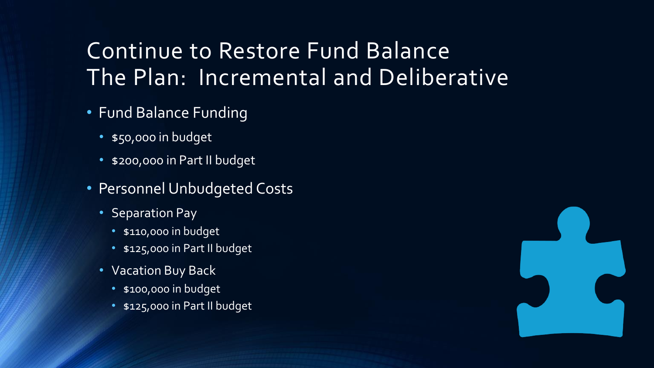## Continue to Restore Fund Balance The Plan: Incremental and Deliberative

- Fund Balance Funding
	- \$50,000 in budget
	- \$200,000 in Part II budget
- Personnel Unbudgeted Costs
	- Separation Pay
		- \$110,000 in budget
		- \$125,000 in Part II budget
	- Vacation Buy Back
		- \$100,000 in budget
		- \$125,000 in Part II budget

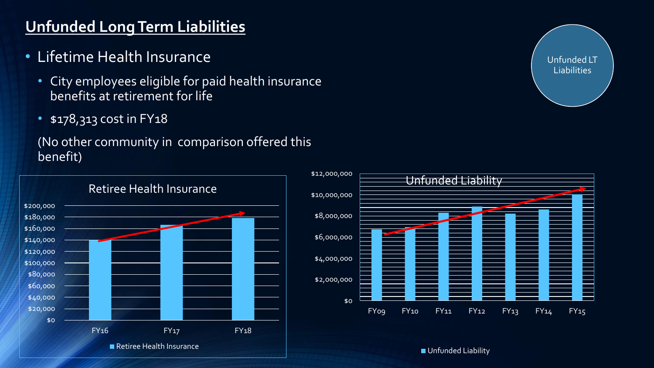#### **Unfunded Long Term Liabilities**

- Lifetime Health Insurance
	- City employees eligible for paid health insurance benefits at retirement for life
	- \$178,313 cost in FY18

#### (No other community in comparison offered this benefit)





Unfunded LT **Liabilities** 

**Unfunded Liability**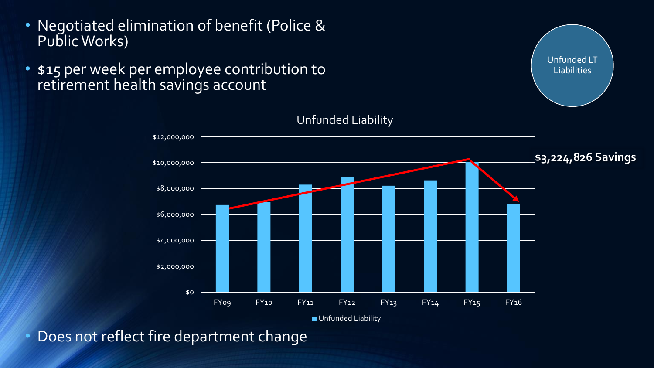- Negotiated elimination of benefit (Police & Public Works)
- \$15 per week per employee contribution to retirement health savings account



Unfunded LT **Liabilities** 

Unfunded Liability

**Unfunded Liability** 

• Does not reflect fire department change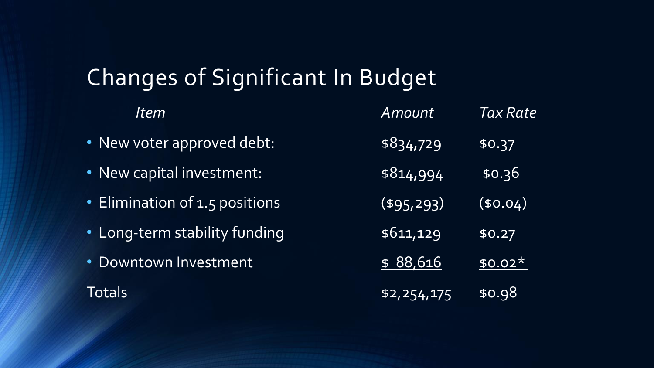# Changes of Significant In Budget

| Item                           | Amount        | Tax Rate |
|--------------------------------|---------------|----------|
| • New voter approved debt:     | \$834,729     | \$0.37   |
| • New capital investment:      | \$814,994     | \$0.36   |
| · Elimination of 1.5 positions | $($ \$95,293) | (50.04)  |
| • Long-term stability funding  | \$611,129     | \$0.27   |
| · Downtown Investment          | \$88,616      | $$0.02*$ |
| Totals                         | \$2,254,175   | \$0.98   |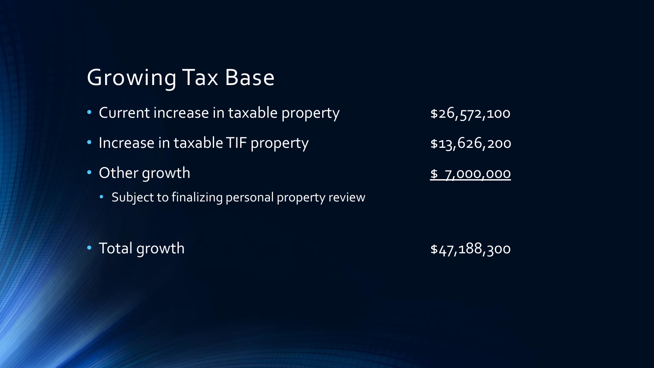## Growing Tax Base

- Current increase in taxable property **\$26,572,100**
- Increase in taxable TIF property **\$13,626,200**
- Other growth **\$ 7,000,000** 
	- Subject to finalizing personal property review

• Total growth **\$47,188,300**